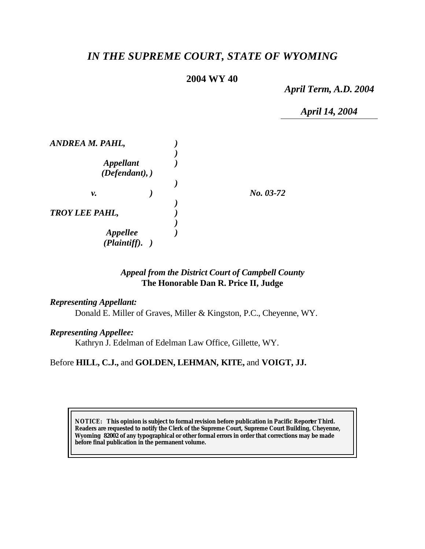# *IN THE SUPREME COURT, STATE OF WYOMING*

## **2004 WY 40**

*April Term, A.D. 2004*

*April 14, 2004*

| ANDREA M. PAHL,                    |  |             |
|------------------------------------|--|-------------|
| <b>Appellant</b><br>(Defendant), ) |  |             |
| ν.                                 |  | $No. 03-72$ |
| <b>TROY LEE PAHL,</b>              |  |             |
| <b>Appellee</b><br>(Plaintiff).    |  |             |

# *Appeal from the District Court of Campbell County* **The Honorable Dan R. Price II, Judge**

#### *Representing Appellant:*

Donald E. Miller of Graves, Miller & Kingston, P.C., Cheyenne, WY.

#### *Representing Appellee:*

Kathryn J. Edelman of Edelman Law Office, Gillette, WY.

Before **HILL, C.J.,** and **GOLDEN, LEHMAN, KITE,** and **VOIGT, JJ.**

**NOTICE:** *This opinion is subject to formal revision before publication in Pacific Reporter Third. Readers are requested to notify the Clerk of the Supreme Court, Supreme Court Building, Cheyenne, Wyoming 82002 of any typographical or other formal errors in order that corrections may be made before final publication in the permanent volume.*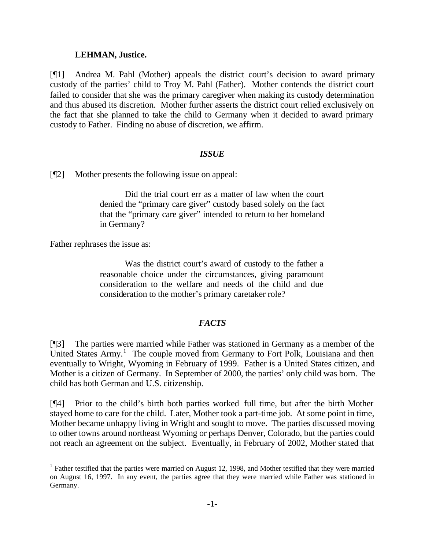#### **LEHMAN, Justice.**

[¶1] Andrea M. Pahl (Mother) appeals the district court's decision to award primary custody of the parties' child to Troy M. Pahl (Father). Mother contends the district court failed to consider that she was the primary caregiver when making its custody determination and thus abused its discretion. Mother further asserts the district court relied exclusively on the fact that she planned to take the child to Germany when it decided to award primary custody to Father. Finding no abuse of discretion, we affirm.

### *ISSUE*

[¶2] Mother presents the following issue on appeal:

Did the trial court err as a matter of law when the court denied the "primary care giver" custody based solely on the fact that the "primary care giver" intended to return to her homeland in Germany?

Father rephrases the issue as:

l

Was the district court's award of custody to the father a reasonable choice under the circumstances, giving paramount consideration to the welfare and needs of the child and due consideration to the mother's primary caretaker role?

### *FACTS*

[¶3] The parties were married while Father was stationed in Germany as a member of the United States  $Army$ <sup>1</sup>. The couple moved from Germany to Fort Polk, Louisiana and then eventually to Wright, Wyoming in February of 1999. Father is a United States citizen, and Mother is a citizen of Germany. In September of 2000, the parties' only child was born. The child has both German and U.S. citizenship.

[¶4] Prior to the child's birth both parties worked full time, but after the birth Mother stayed home to care for the child. Later, Mother took a part-time job. At some point in time, Mother became unhappy living in Wright and sought to move. The parties discussed moving to other towns around northeast Wyoming or perhaps Denver, Colorado, but the parties could not reach an agreement on the subject. Eventually, in February of 2002, Mother stated that

 $1$  Father testified that the parties were married on August 12, 1998, and Mother testified that they were married on August 16, 1997. In any event, the parties agree that they were married while Father was stationed in Germany.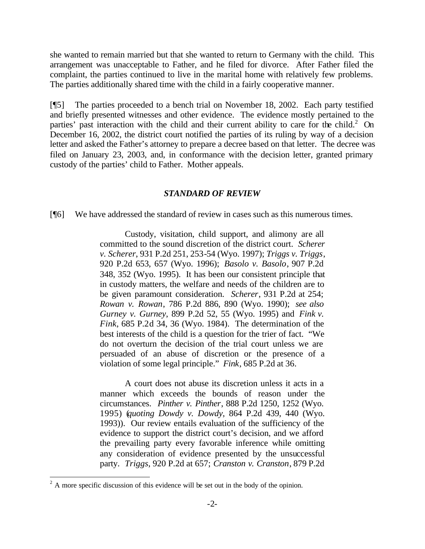she wanted to remain married but that she wanted to return to Germany with the child. This arrangement was unacceptable to Father, and he filed for divorce. After Father filed the complaint, the parties continued to live in the marital home with relatively few problems. The parties additionally shared time with the child in a fairly cooperative manner.

[¶5] The parties proceeded to a bench trial on November 18, 2002. Each party testified and briefly presented witnesses and other evidence. The evidence mostly pertained to the parties' past interaction with the child and their current ability to care for the child.<sup>2</sup> On December 16, 2002, the district court notified the parties of its ruling by way of a decision letter and asked the Father's attorney to prepare a decree based on that letter. The decree was filed on January 23, 2003, and, in conformance with the decision letter, granted primary custody of the parties' child to Father. Mother appeals.

#### *STANDARD OF REVIEW*

[¶6] We have addressed the standard of review in cases such as this numerous times.

Custody, visitation, child support, and alimony are all committed to the sound discretion of the district court. *Scherer v. Scherer*, 931 P.2d 251, 253-54 (Wyo. 1997); *Triggs v. Triggs*, 920 P.2d 653, 657 (Wyo. 1996); *Basolo v. Basolo*, 907 P.2d 348, 352 (Wyo. 1995). It has been our consistent principle that in custody matters, the welfare and needs of the children are to be given paramount consideration. *Scherer*, 931 P.2d at 254; *Rowan v. Rowan*, 786 P.2d 886, 890 (Wyo. 1990); *see also Gurney v. Gurney*, 899 P.2d 52, 55 (Wyo. 1995) and *Fink v. Fink*, 685 P.2d 34, 36 (Wyo. 1984). The determination of the best interests of the child is a question for the trier of fact. "We do not overturn the decision of the trial court unless we are persuaded of an abuse of discretion or the presence of a violation of some legal principle." *Fink*, 685 P.2d at 36.

A court does not abuse its discretion unless it acts in a manner which exceeds the bounds of reason under the circumstances. *Pinther v. Pinther*, 888 P.2d 1250, 1252 (Wyo. 1995) (*quoting Dowdy v. Dowdy*, 864 P.2d 439, 440 (Wyo. 1993)). Our review entails evaluation of the sufficiency of the evidence to support the district court's decision, and we afford the prevailing party every favorable inference while omitting any consideration of evidence presented by the unsuccessful party. *Triggs*, 920 P.2d at 657; *Cranston v. Cranston*, 879 P.2d

<sup>&</sup>lt;sup>2</sup> A more specific discussion of this evidence will be set out in the body of the opinion.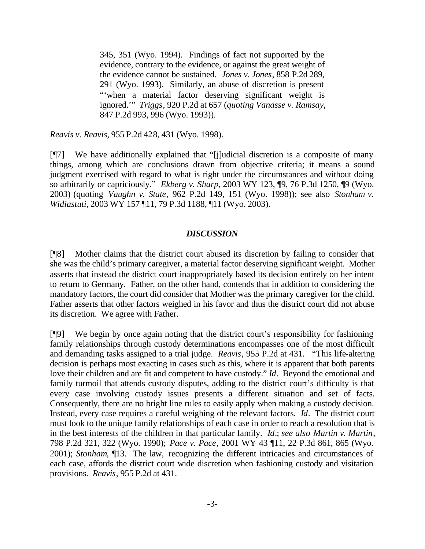345, 351 (Wyo. 1994). Findings of fact not supported by the evidence, contrary to the evidence, or against the great weight of the evidence cannot be sustained. *Jones v. Jones*, 858 P.2d 289, 291 (Wyo. 1993). Similarly, an abuse of discretion is present "'when a material factor deserving significant weight is ignored.'" *Triggs*, 920 P.2d at 657 (*quoting Vanasse v. Ramsay,* 847 P.2d 993, 996 (Wyo. 1993)).

*Reavis v. Reavis*, 955 P.2d 428, 431 (Wyo. 1998).

[¶7] We have additionally explained that "[j]udicial discretion is a composite of many things, among which are conclusions drawn from objective criteria; it means a sound judgment exercised with regard to what is right under the circumstances and without doing so arbitrarily or capriciously." *Ekberg v. Sharp*, 2003 WY 123, ¶9, 76 P.3d 1250, ¶9 (Wyo. 2003) (quoting *Vaughn v. State*, 962 P.2d 149, 151 (Wyo. 1998)); see also *Stonham v. Widiastuti*, 2003 WY 157 ¶11, 79 P.3d 1188, ¶11 (Wyo. 2003).

#### *DISCUSSION*

[¶8] Mother claims that the district court abused its discretion by failing to consider that she was the child's primary caregiver, a material factor deserving significant weight. Mother asserts that instead the district court inappropriately based its decision entirely on her intent to return to Germany. Father, on the other hand, contends that in addition to considering the mandatory factors, the court did consider that Mother was the primary caregiver for the child. Father asserts that other factors weighed in his favor and thus the district court did not abuse its discretion. We agree with Father.

[¶9] We begin by once again noting that the district court's responsibility for fashioning family relationships through custody determinations encompasses one of the most difficult and demanding tasks assigned to a trial judge. *Reavis*, 955 P.2d at 431. "This life-altering decision is perhaps most exacting in cases such as this, where it is apparent that both parents love their children and are fit and competent to have custody." *Id*. Beyond the emotional and family turmoil that attends custody disputes, adding to the district court's difficulty is that every case involving custody issues presents a different situation and set of facts. Consequently, there are no bright line rules to easily apply when making a custody decision. Instead, every case requires a careful weighing of the relevant factors. *Id*. The district court must look to the unique family relationships of each case in order to reach a resolution that is in the best interests of the children in that particular family. *Id*.; *see also Martin v. Martin*, 798 P.2d 321, 322 (Wyo. 1990); *Pace v. Pace*, 2001 WY 43 ¶11, 22 P.3d 861, 865 (Wyo. 2001); *Stonham*, ¶13. The law, recognizing the different intricacies and circumstances of each case, affords the district court wide discretion when fashioning custody and visitation provisions. *Reavis*, 955 P.2d at 431.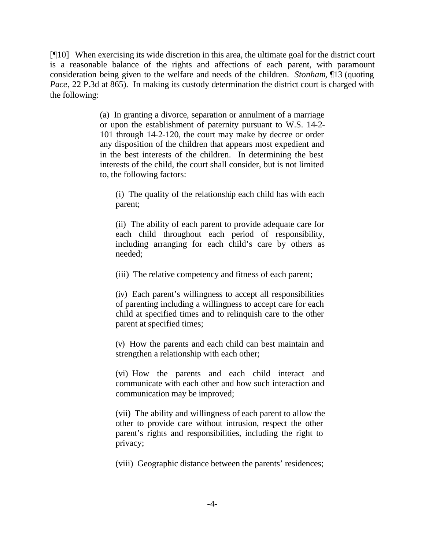[¶10] When exercising its wide discretion in this area, the ultimate goal for the district court is a reasonable balance of the rights and affections of each parent, with paramount consideration being given to the welfare and needs of the children. *Stonham*, ¶13 (quoting *Pace*, 22 P.3d at 865). In making its custody determination the district court is charged with the following:

> (a) In granting a divorce, separation or annulment of a marriage or upon the establishment of paternity pursuant to W.S. 14-2- 101 through 14-2-120, the court may make by decree or order any disposition of the children that appears most expedient and in the best interests of the children. In determining the best interests of the child, the court shall consider, but is not limited to, the following factors:

(i) The quality of the relationship each child has with each parent;

(ii) The ability of each parent to provide adequate care for each child throughout each period of responsibility, including arranging for each child's care by others as needed;

(iii) The relative competency and fitness of each parent;

(iv) Each parent's willingness to accept all responsibilities of parenting including a willingness to accept care for each child at specified times and to relinquish care to the other parent at specified times;

(v) How the parents and each child can best maintain and strengthen a relationship with each other;

(vi) How the parents and each child interact and communicate with each other and how such interaction and communication may be improved;

(vii) The ability and willingness of each parent to allow the other to provide care without intrusion, respect the other parent's rights and responsibilities, including the right to privacy;

(viii) Geographic distance between the parents' residences;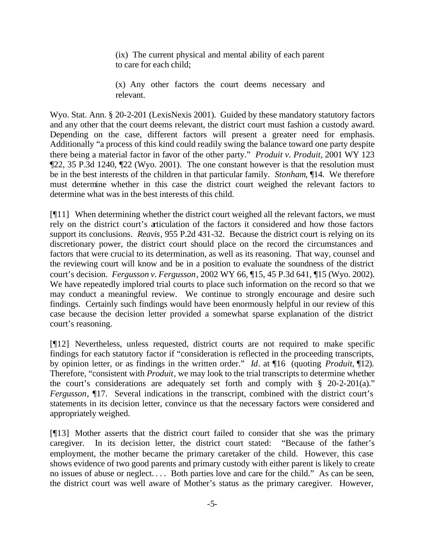(ix) The current physical and mental ability of each parent to care for each child;

(x) Any other factors the court deems necessary and relevant.

Wyo. Stat. Ann. § 20-2-201 (LexisNexis 2001). Guided by these mandatory statutory factors and any other that the court deems relevant, the district court must fashion a custody award. Depending on the case, different factors will present a greater need for emphasis. Additionally "a process of this kind could readily swing the balance toward one party despite there being a material factor in favor of the other party." *Produit v. Produit*, 2001 WY 123 ¶22, 35 P.3d 1240, ¶22 (Wyo. 2001). The one constant however is that the resolution must be in the best interests of the children in that particular family. *Stonham*, ¶14. We therefore must determine whether in this case the district court weighed the relevant factors to determine what was in the best interests of this child.

[¶11] When determining whether the district court weighed all the relevant factors, we must rely on the district court's articulation of the factors it considered and how those factors support its conclusions. *Reavis*, 955 P.2d 431-32. Because the district court is relying on its discretionary power, the district court should place on the record the circumstances and factors that were crucial to its determination, as well as its reasoning. That way, counsel and the reviewing court will know and be in a position to evaluate the soundness of the district court's decision. *Fergusson v. Fergusson*, 2002 WY 66, ¶15, 45 P.3d 641, ¶15 (Wyo. 2002). We have repeatedly implored trial courts to place such information on the record so that we may conduct a meaningful review. We continue to strongly encourage and desire such findings. Certainly such findings would have been enormously helpful in our review of this case because the decision letter provided a somewhat sparse explanation of the district court's reasoning.

[¶12] Nevertheless, unless requested, district courts are not required to make specific findings for each statutory factor if "consideration is reflected in the proceeding transcripts, by opinion letter, or as findings in the written order." *Id*. at ¶16 (quoting *Produit*, ¶12). Therefore, "consistent with *Produit*, we may look to the trial transcripts to determine whether the court's considerations are adequately set forth and comply with § 20-2-201(a)." *Fergusson*, ¶17. Several indications in the transcript, combined with the district court's statements in its decision letter, convince us that the necessary factors were considered and appropriately weighed.

[¶13] Mother asserts that the district court failed to consider that she was the primary caregiver. In its decision letter, the district court stated: "Because of the father's employment, the mother became the primary caretaker of the child. However, this case shows evidence of two good parents and primary custody with either parent is likely to create no issues of abuse or neglect. . . . Both parties love and care for the child." As can be seen, the district court was well aware of Mother's status as the primary caregiver. However,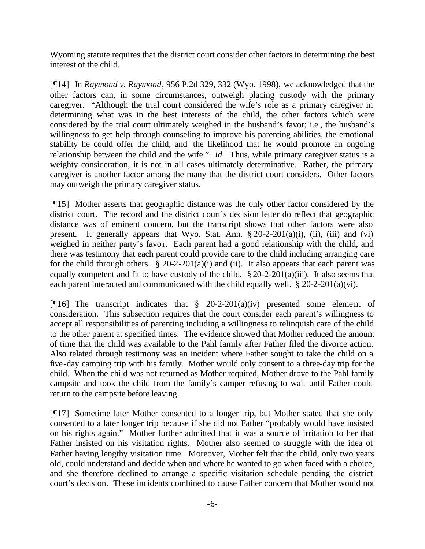Wyoming statute requires that the district court consider other factors in determining the best interest of the child.

[¶14] In *Raymond v. Raymond*, 956 P.2d 329, 332 (Wyo. 1998), we acknowledged that the other factors can, in some circumstances, outweigh placing custody with the primary caregiver. "Although the trial court considered the wife's role as a primary caregiver in determining what was in the best interests of the child, the other factors which were considered by the trial court ultimately weighed in the husband's favor; i.e., the husband's willingness to get help through counseling to improve his parenting abilities, the emotional stability he could offer the child, and the likelihood that he would promote an ongoing relationship between the child and the wife." *Id.* Thus, while primary caregiver status is a weighty consideration, it is not in all cases ultimately determinative. Rather, the primary caregiver is another factor among the many that the district court considers. Other factors may outweigh the primary caregiver status.

[¶15] Mother asserts that geographic distance was the only other factor considered by the district court. The record and the district court's decision letter do reflect that geographic distance was of eminent concern, but the transcript shows that other factors were also present. It generally appears that Wyo. Stat. Ann.  $\S 20-2-201(a)(i)$ , (ii), (iii) and (vi) weighed in neither party's favor. Each parent had a good relationship with the child, and there was testimony that each parent could provide care to the child including arranging care for the child through others.  $\hat{\S}$  20-2-201(a)(i) and (ii). It also appears that each parent was equally competent and fit to have custody of the child.  $\S 20-2-201(a)(iii)$ . It also seems that each parent interacted and communicated with the child equally well. § 20-2-201(a)(vi).

[ $[$ [16] The transcript indicates that § 20-2-201(a)(iv) presented some element of consideration. This subsection requires that the court consider each parent's willingness to accept all responsibilities of parenting including a willingness to relinquish care of the child to the other parent at specified times. The evidence showed that Mother reduced the amount of time that the child was available to the Pahl family after Father filed the divorce action. Also related through testimony was an incident where Father sought to take the child on a five-day camping trip with his family. Mother would only consent to a three-day trip for the child. When the child was not returned as Mother required, Mother drove to the Pahl family campsite and took the child from the family's camper refusing to wait until Father could return to the campsite before leaving.

[¶17] Sometime later Mother consented to a longer trip, but Mother stated that she only consented to a later longer trip because if she did not Father "probably would have insisted on his rights again." Mother further admitted that it was a source of irritation to her that Father insisted on his visitation rights. Mother also seemed to struggle with the idea of Father having lengthy visitation time. Moreover, Mother felt that the child, only two years old, could understand and decide when and where he wanted to go when faced with a choice, and she therefore declined to arrange a specific visitation schedule pending the district court's decision. These incidents combined to cause Father concern that Mother would not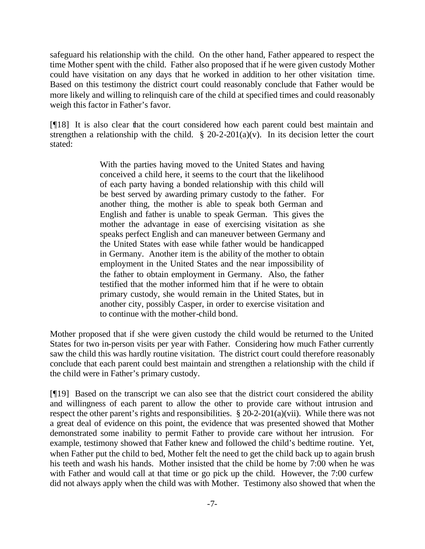safeguard his relationship with the child. On the other hand, Father appeared to respect the time Mother spent with the child. Father also proposed that if he were given custody Mother could have visitation on any days that he worked in addition to her other visitation time. Based on this testimony the district court could reasonably conclude that Father would be more likely and willing to relinquish care of the child at specified times and could reasonably weigh this factor in Father's favor.

[¶18] It is also clear that the court considered how each parent could best maintain and strengthen a relationship with the child.  $\S 20-2-201(a)(v)$ . In its decision letter the court stated:

> With the parties having moved to the United States and having conceived a child here, it seems to the court that the likelihood of each party having a bonded relationship with this child will be best served by awarding primary custody to the father. For another thing, the mother is able to speak both German and English and father is unable to speak German. This gives the mother the advantage in ease of exercising visitation as she speaks perfect English and can maneuver between Germany and the United States with ease while father would be handicapped in Germany. Another item is the ability of the mother to obtain employment in the United States and the near impossibility of the father to obtain employment in Germany. Also, the father testified that the mother informed him that if he were to obtain primary custody, she would remain in the United States, but in another city, possibly Casper, in order to exercise visitation and to continue with the mother-child bond.

Mother proposed that if she were given custody the child would be returned to the United States for two in-person visits per year with Father. Considering how much Father currently saw the child this was hardly routine visitation. The district court could therefore reasonably conclude that each parent could best maintain and strengthen a relationship with the child if the child were in Father's primary custody.

[¶19] Based on the transcript we can also see that the district court considered the ability and willingness of each parent to allow the other to provide care without intrusion and respect the other parent's rights and responsibilities. § 20-2-201(a)(vii). While there was not a great deal of evidence on this point, the evidence that was presented showed that Mother demonstrated some inability to permit Father to provide care without her intrusion. For example, testimony showed that Father knew and followed the child's bedtime routine. Yet, when Father put the child to bed, Mother felt the need to get the child back up to again brush his teeth and wash his hands. Mother insisted that the child be home by 7:00 when he was with Father and would call at that time or go pick up the child. However, the 7:00 curfew did not always apply when the child was with Mother. Testimony also showed that when the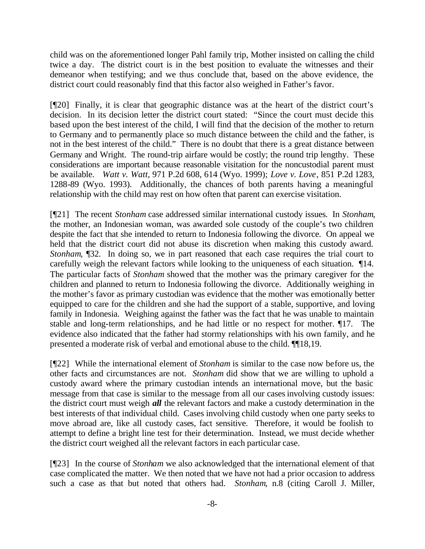child was on the aforementioned longer Pahl family trip, Mother insisted on calling the child twice a day. The district court is in the best position to evaluate the witnesses and their demeanor when testifying; and we thus conclude that, based on the above evidence, the district court could reasonably find that this factor also weighed in Father's favor.

[¶20] Finally, it is clear that geographic distance was at the heart of the district court's decision. In its decision letter the district court stated: "Since the court must decide this based upon the best interest of the child, I will find that the decision of the mother to return to Germany and to permanently place so much distance between the child and the father, is not in the best interest of the child." There is no doubt that there is a great distance between Germany and Wright. The round-trip airfare would be costly; the round trip lengthy. These considerations are important because reasonable visitation for the noncustodial parent must be available. *Watt v. Watt*, 971 P.2d 608, 614 (Wyo. 1999); *Love v. Love*, 851 P.2d 1283, 1288-89 (Wyo. 1993). Additionally, the chances of both parents having a meaningful relationship with the child may rest on how often that parent can exercise visitation.

[¶21] The recent *Stonham* case addressed similar international custody issues. In *Stonham*, the mother, an Indonesian woman, was awarded sole custody of the couple's two children despite the fact that she intended to return to Indonesia following the divorce. On appeal we held that the district court did not abuse its discretion when making this custody award. *Stonham*,  $\sqrt{32}$ . In doing so, we in part reasoned that each case requires the trial court to carefully weigh the relevant factors while looking to the uniqueness of each situation. ¶14. The particular facts of *Stonham* showed that the mother was the primary caregiver for the children and planned to return to Indonesia following the divorce. Additionally weighing in the mother's favor as primary custodian was evidence that the mother was emotionally better equipped to care for the children and she had the support of a stable, supportive, and loving family in Indonesia. Weighing against the father was the fact that he was unable to maintain stable and long-term relationships, and he had little or no respect for mother. ¶17. The evidence also indicated that the father had stormy relationships with his own family, and he presented a moderate risk of verbal and emotional abuse to the child. ¶¶18,19.

[¶22] While the international element of *Stonham* is similar to the case now before us, the other facts and circumstances are not. *Stonham* did show that we are willing to uphold a custody award where the primary custodian intends an international move, but the basic message from that case is similar to the message from all our cases involving custody issues: the district court must weigh *all* the relevant factors and make a custody determination in the best interests of that individual child. Cases involving child custody when one party seeks to move abroad are, like all custody cases, fact sensitive. Therefore, it would be foolish to attempt to define a bright line test for their determination. Instead, we must decide whether the district court weighed all the relevant factors in each particular case.

[¶23] In the course of *Stonham* we also acknowledged that the international element of that case complicated the matter. We then noted that we have not had a prior occasion to address such a case as that but noted that others had. *Stonham*, n.8 (citing Caroll J. Miller,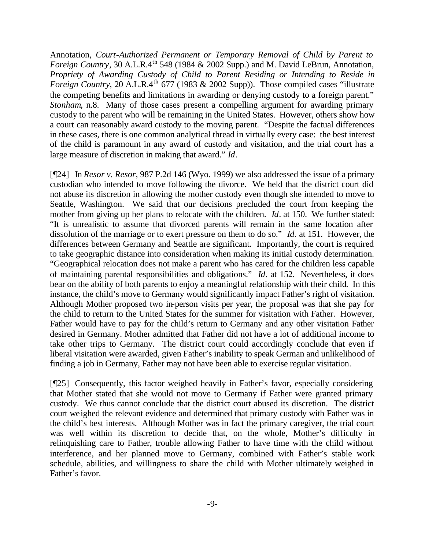Annotation, *Court-Authorized Permanent or Temporary Removal of Child by Parent to Foreign Country*, 30 A.L.R.4<sup>th</sup> 548 (1984 & 2002 Supp.) and M. David LeBrun, Annotation, *Propriety of Awarding Custody of Child to Parent Residing or Intending to Reside in Foreign Country*, 20 A.L.R.4<sup>th</sup> 677 (1983 & 2002 Supp)). Those compiled cases "illustrate" the competing benefits and limitations in awarding or denying custody to a foreign parent." *Stonham*, n.8. Many of those cases present a compelling argument for awarding primary custody to the parent who will be remaining in the United States. However, others show how a court can reasonably award custody to the moving parent. "Despite the factual differences in these cases, there is one common analytical thread in virtually every case: the best interest of the child is paramount in any award of custody and visitation, and the trial court has a large measure of discretion in making that award." *Id*.

[¶24] In *Resor v. Resor*, 987 P.2d 146 (Wyo. 1999) we also addressed the issue of a primary custodian who intended to move following the divorce. We held that the district court did not abuse its discretion in allowing the mother custody even though she intended to move to Seattle, Washington. We said that our decisions precluded the court from keeping the mother from giving up her plans to relocate with the children. *Id*. at 150. We further stated: "It is unrealistic to assume that divorced parents will remain in the same location after dissolution of the marriage or to exert pressure on them to do so." *Id*. at 151. However, the differences between Germany and Seattle are significant. Importantly, the court is required to take geographic distance into consideration when making its initial custody determination. "Geographical relocation does not make a parent who has cared for the children less capable of maintaining parental responsibilities and obligations." *Id*. at 152. Nevertheless, it does bear on the ability of both parents to enjoy a meaningful relationship with their child. In this instance, the child's move to Germany would significantly impact Father's right of visitation. Although Mother proposed two in-person visits per year, the proposal was that she pay for the child to return to the United States for the summer for visitation with Father. However, Father would have to pay for the child's return to Germany and any other visitation Father desired in Germany. Mother admitted that Father did not have a lot of additional income to take other trips to Germany. The district court could accordingly conclude that even if liberal visitation were awarded, given Father's inability to speak German and unlikelihood of finding a job in Germany, Father may not have been able to exercise regular visitation.

[¶25] Consequently, this factor weighed heavily in Father's favor, especially considering that Mother stated that she would not move to Germany if Father were granted primary custody. We thus cannot conclude that the district court abused its discretion. The district court weighed the relevant evidence and determined that primary custody with Father was in the child's best interests. Although Mother was in fact the primary caregiver, the trial court was well within its discretion to decide that, on the whole, Mother's difficulty in relinquishing care to Father, trouble allowing Father to have time with the child without interference, and her planned move to Germany, combined with Father's stable work schedule, abilities, and willingness to share the child with Mother ultimately weighed in Father's favor.